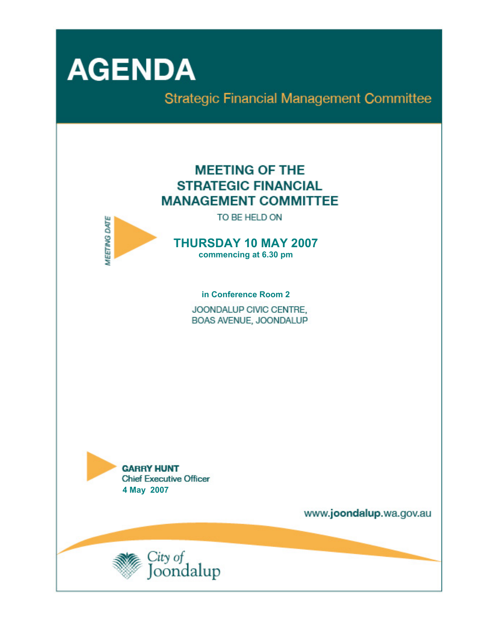

**Strategic Financial Management Committee** 

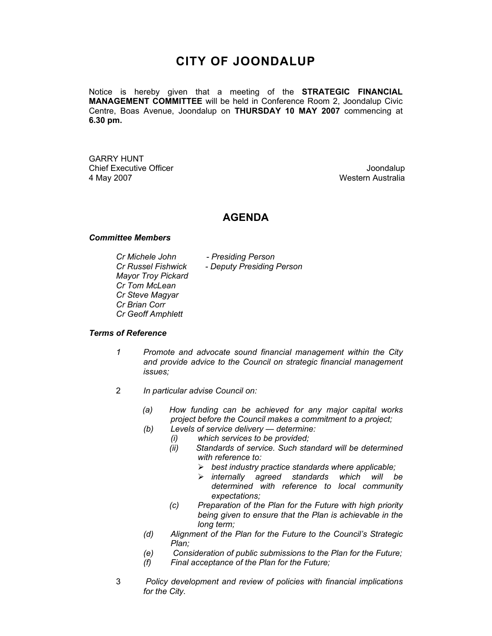## **CITY OF JOONDALUP**

Notice is hereby given that a meeting of the **STRATEGIC FINANCIAL MANAGEMENT COMMITTEE** will be held in Conference Room 2, Joondalup Civic Centre, Boas Avenue, Joondalup on **THURSDAY 10 MAY 2007** commencing at **6.30 pm.** 

GARRY HUNT Chief Executive Officer  $\Box$  Joondalup Joondalup 4 May 2007 Western Australia

### **AGENDA**

#### *Committee Members*

*Mayor Troy Pickard Cr Tom McLean Cr Steve Magyar Cr Brian Corr Cr Geoff Amphlett* 

*Cr Michele John - Presiding Person Cr Russel Fishwick - Deputy Presiding Person* 

#### *Terms of Reference*

- *1 Promote and advocate sound financial management within the City and provide advice to the Council on strategic financial management issues;*
- 2 *In particular advise Council on:* 
	- *(a) How funding can be achieved for any major capital works project before the Council makes a commitment to a project;*
	- *(b) Levels of service delivery determine:* 
		- *(i) which services to be provided;*
		- *(ii) Standards of service. Such standard will be determined with reference to:* 
			- ¾ *best industry practice standards where applicable;*
			- ¾ *internally agreed standards which will be determined with reference to local community expectations;*
		- *(c) Preparation of the Plan for the Future with high priority being given to ensure that the Plan is achievable in the long term;*
	- *(d) Alignment of the Plan for the Future to the Council's Strategic Plan;*
	- *(e) Consideration of public submissions to the Plan for the Future;*
	- *(f) Final acceptance of the Plan for the Future;*
- 3 *Policy development and review of policies with financial implications for the City.*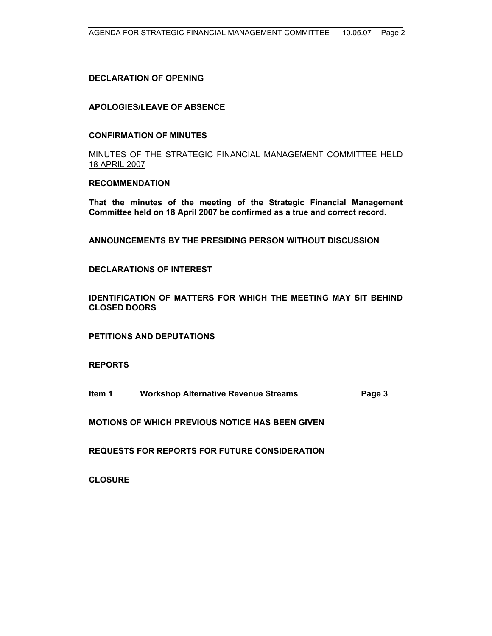#### **DECLARATION OF OPENING**

#### **APOLOGIES/LEAVE OF ABSENCE**

#### **CONFIRMATION OF MINUTES**

MINUTES OF THE STRATEGIC FINANCIAL MANAGEMENT COMMITTEE HELD 18 APRIL 2007

#### **RECOMMENDATION**

**That the minutes of the meeting of the Strategic Financial Management Committee held on 18 April 2007 be confirmed as a true and correct record.** 

**ANNOUNCEMENTS BY THE PRESIDING PERSON WITHOUT DISCUSSION** 

#### **DECLARATIONS OF INTEREST**

**IDENTIFICATION OF MATTERS FOR WHICH THE MEETING MAY SIT BEHIND CLOSED DOORS** 

**PETITIONS AND DEPUTATIONS** 

**REPORTS** 

**Item 1 Workshop Alternative Revenue Streams Page 3** 

**MOTIONS OF WHICH PREVIOUS NOTICE HAS BEEN GIVEN** 

**REQUESTS FOR REPORTS FOR FUTURE CONSIDERATION** 

**CLOSURE**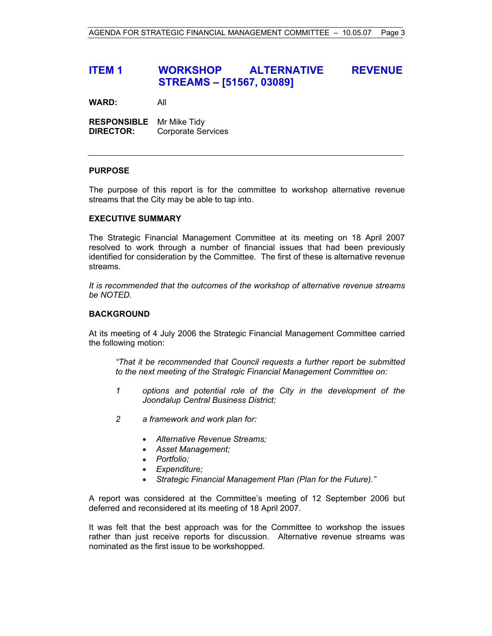## **ITEM 1 WORKSHOP ALTERNATIVE REVENUE STREAMS – [51567, 03089]**

**WARD:** All

**RESPONSIBLE** Mr Mike Tidy **DIRECTOR:** Corporate Services

#### **PURPOSE**

The purpose of this report is for the committee to workshop alternative revenue streams that the City may be able to tap into.

#### **EXECUTIVE SUMMARY**

The Strategic Financial Management Committee at its meeting on 18 April 2007 resolved to work through a number of financial issues that had been previously identified for consideration by the Committee. The first of these is alternative revenue streams.

*It is recommended that the outcomes of the workshop of alternative revenue streams be NOTED.*

#### **BACKGROUND**

At its meeting of 4 July 2006 the Strategic Financial Management Committee carried the following motion:

*"That it be recommended that Council requests a further report be submitted to the next meeting of the Strategic Financial Management Committee on:* 

- *1 options and potential role of the City in the development of the Joondalup Central Business District;*
- *2 a framework and work plan for:* 
	- *Alternative Revenue Streams;*
	- *Asset Management;*
	- *Portfolio;*
	- *Expenditure;*
	- *Strategic Financial Management Plan (Plan for the Future)."*

A report was considered at the Committee's meeting of 12 September 2006 but deferred and reconsidered at its meeting of 18 April 2007.

It was felt that the best approach was for the Committee to workshop the issues rather than just receive reports for discussion. Alternative revenue streams was nominated as the first issue to be workshopped.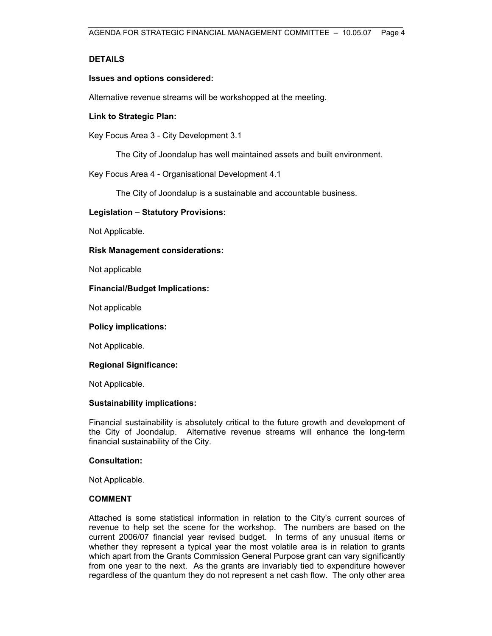#### **DETAILS**

#### **Issues and options considered:**

Alternative revenue streams will be workshopped at the meeting.

#### **Link to Strategic Plan:**

Key Focus Area 3 - City Development 3.1

The City of Joondalup has well maintained assets and built environment.

Key Focus Area 4 - Organisational Development 4.1

The City of Joondalup is a sustainable and accountable business.

#### **Legislation – Statutory Provisions:**

Not Applicable.

#### **Risk Management considerations:**

Not applicable

#### **Financial/Budget Implications:**

Not applicable

#### **Policy implications:**

Not Applicable.

#### **Regional Significance:**

Not Applicable.

#### **Sustainability implications:**

Financial sustainability is absolutely critical to the future growth and development of the City of Joondalup. Alternative revenue streams will enhance the long-term financial sustainability of the City.

#### **Consultation:**

Not Applicable.

#### **COMMENT**

Attached is some statistical information in relation to the City's current sources of revenue to help set the scene for the workshop. The numbers are based on the current 2006/07 financial year revised budget. In terms of any unusual items or whether they represent a typical year the most volatile area is in relation to grants which apart from the Grants Commission General Purpose grant can vary significantly from one year to the next. As the grants are invariably tied to expenditure however regardless of the quantum they do not represent a net cash flow. The only other area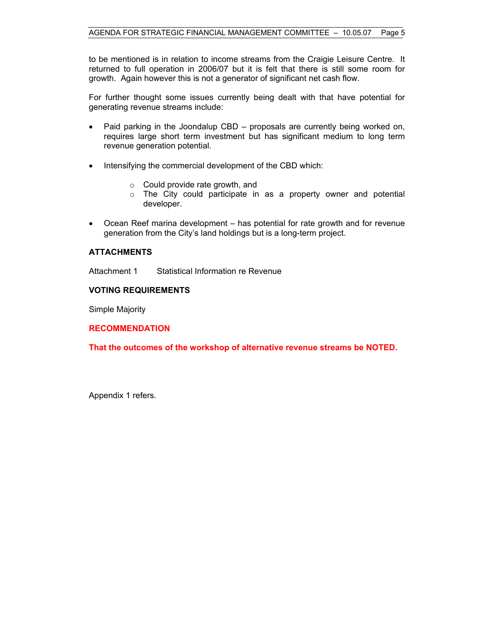to be mentioned is in relation to income streams from the Craigie Leisure Centre. It returned to full operation in 2006/07 but it is felt that there is still some room for growth. Again however this is not a generator of significant net cash flow.

For further thought some issues currently being dealt with that have potential for generating revenue streams include:

- Paid parking in the Joondalup CBD proposals are currently being worked on, requires large short term investment but has significant medium to long term revenue generation potential.
- Intensifying the commercial development of the CBD which:
	- $\circ$  Could provide rate growth, and
	- o The City could participate in as a property owner and potential developer.
- Ocean Reef marina development has potential for rate growth and for revenue generation from the City's land holdings but is a long-term project.

#### **ATTACHMENTS**

Attachment 1 Statistical Information re Revenue

#### **VOTING REQUIREMENTS**

Simple Majority

**RECOMMENDATION** 

**That the outcomes of the workshop of alternative revenue streams be NOTED.** 

Appendix 1 refers.